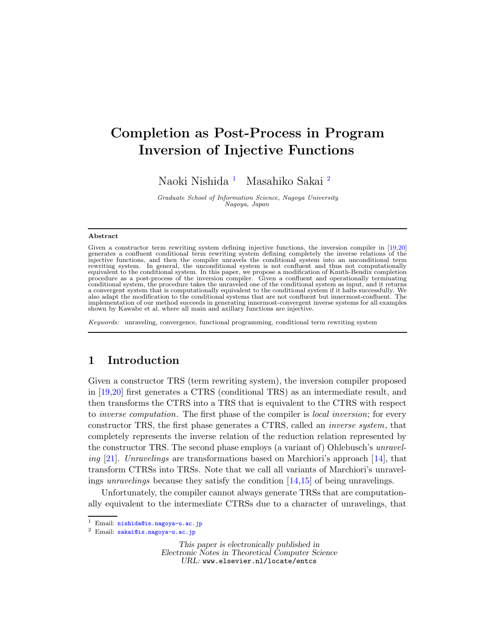# Completion as Post-Process in Program Inversion of Injective Functions

Naoki Nishida [1](#page-1-0) Masahiko Sakai [2](#page-1-0)

Graduate School of Information Science, Nagoya University Nagoya, Japan

#### Abstract

Given a constructor term rewriting system defining injective functions, the inversion compiler in [\[19](#page-14-0)[,20\]](#page-14-1) generates a confluent conditional term rewriting system defining completely the inverse relations of the injective functions, and then the compiler unravels the conditional system into an unconditional term<br>rewriting syste equivalent to the conditional system. In this paper, we propose a modification of Knuth-Bendix completion procedure as a post-process of the inversion compiler. Given a confluent and operationally terminating<br>conditional system, the procedure takes the unraveled one of the conditional system as input, and it returns<br>a converge implementation of our method succeeds in generating innermost-convergent inverse systems for all examples shown by Kawabe et al. where all main and axillary functions are injective.

Keywords: unraveling, convergence, functional programming, conditional term rewriting system

### <span id="page-0-0"></span>1 Introduction

Given a constructor TRS (term rewriting system), the inversion compiler proposed in [\[19,](#page-14-0)[20\]](#page-14-1) first generates a CTRS (conditional TRS) as an intermediate result, and then transforms the CTRS into a TRS that is equivalent to the CTRS with respect to inverse computation. The first phase of the compiler is local inversion; for every constructor TRS, the first phase generates a CTRS, called an inverse system, that completely represents the inverse relation of the reduction relation represented by the constructor TRS. The second phase employs (a variant of) Ohlebusch's unraveling  $[21]$ . Unravelings are transformations based on Marchiori's approach  $[14]$ , that transform CTRSs into TRSs. Note that we call all variants of Marchiori's unravelings unravelings because they satisfy the condition [\[14](#page-14-3)[,15\]](#page-14-4) of being unravelings.

Unfortunately, the compiler cannot always generate TRSs that are computationally equivalent to the intermediate CTRSs due to a character of unravelings, that

<sup>1</sup> Email: [nishida@is.nagoya-u.ac.jp](mailto:nishida@is.nagoya-u.ac.jp)

 $2$  Email:  $sakai@is.nagoya-u.ac.jp$ 

This paper is electronically published in Electronic Notes in Theoretical Computer Science URL: www.elsevier.nl/locate/entcs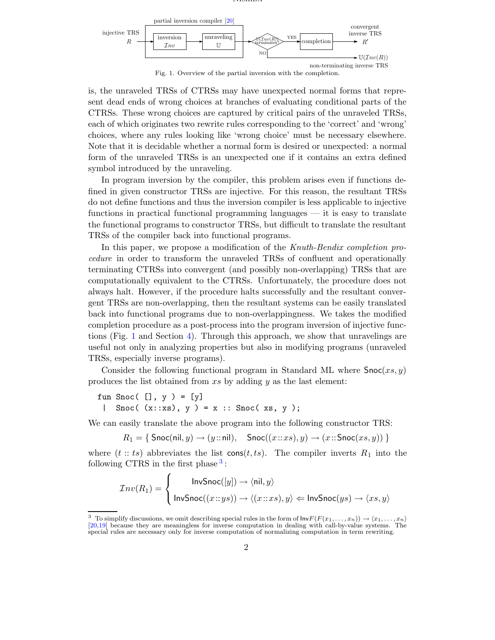



<span id="page-1-1"></span>is, the unraveled TRSs of CTRSs may have unexpected normal forms that represent dead ends of wrong choices at branches of evaluating conditional parts of the CTRSs. These wrong choices are captured by critical pairs of the unraveled TRSs, each of which originates two rewrite rules corresponding to the 'correct' and 'wrong' choices, where any rules looking like 'wrong choice' must be necessary elsewhere. Note that it is decidable whether a normal form is desired or unexpected: a normal form of the unraveled TRSs is an unexpected one if it contains an extra defined symbol introduced by the unraveling.

In program inversion by the compiler, this problem arises even if functions defined in given constructor TRSs are injective. For this reason, the resultant TRSs do not define functions and thus the inversion compiler is less applicable to injective functions in practical functional programming languages — it is easy to translate the functional programs to constructor TRSs, but difficult to translate the resultant TRSs of the compiler back into functional programs.

In this paper, we propose a modification of the Knuth-Bendix completion procedure in order to transform the unraveled TRSs of confluent and operationally terminating CTRSs into convergent (and possibly non-overlapping) TRSs that are computationally equivalent to the CTRSs. Unfortunately, the procedure does not always halt. However, if the procedure halts successfully and the resultant convergent TRSs are non-overlapping, then the resultant systems can be easily translated back into functional programs due to non-overlappingness. We takes the modified completion procedure as a post-process into the program inversion of injective functions (Fig. [1](#page-1-1) and Section [4\)](#page-9-0). Through this approach, we show that unravelings are useful not only in analyzing properties but also in modifying programs (unraveled TRSs, especially inverse programs).

Consider the following functional program in Standard ML where  $\textsf{Snoc}(xs, y)$ produces the list obtained from  $xs$  by adding  $y$  as the last element:

fun Snoc $([], y) = [y]$ | Snoc(  $(x::xs)$ ,  $y$  ) =  $x ::$  Snoc(  $xs$ ,  $y$  );

We can easily translate the above program into the following constructor TRS:

<span id="page-1-0"></span> $R_1 = \{$  Snoc(nil,  $y) \rightarrow (y \text{::} \text{nil}),$  Snoc $((x \text{::} xs), y) \rightarrow (x \text{::} \text{Snoc}(xs, y))\}$ 

where  $(t::ts)$  abbreviates the list cons $(t,ts)$ . The compiler inverts  $R_1$  into the following CTRS in the first phase  $3$ :

$$
\mathcal{I}nv(R_1) = \begin{cases} \text{InvSnoc}([y]) \to \langle \text{nil}, y \rangle \\ \text{InvSnoc}((x::ys)) \to \langle (x::xs), y \rangle \Leftarrow \text{InvSnoc}(ys) \to \langle xs, y \rangle \end{cases}
$$

<span id="page-1-2"></span><sup>&</sup>lt;sup>3</sup> To simplify discussions, we omit describing special rules in the form of  $\text{InvF}(F(x_1, \ldots, x_n)) \to \langle x_1, \ldots, x_n \rangle$ [\[20](#page-14-1)[,19\]](#page-14-0) because they are meaningless for inverse computation in dealing with call-by-value systems. The special rules are necessary only for inverse computation of normalizing computation in term rewriting.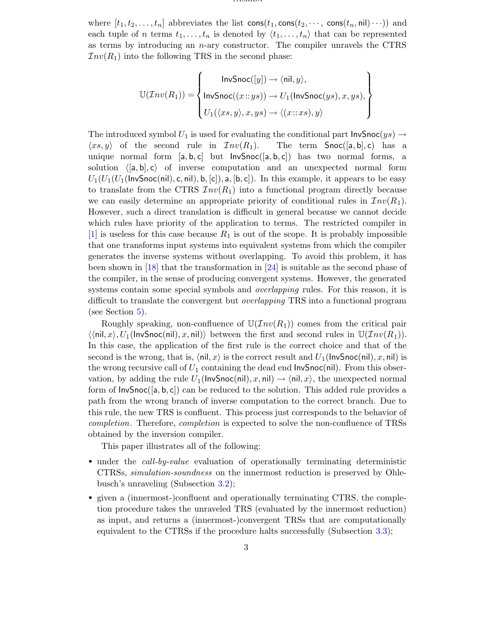where  $[t_1, t_2, \ldots, t_n]$  abbreviates the list  $\text{cons}(t_1, \text{cons}(t_2, \cdots, \text{cons}(t_n, \text{nil}) \cdots))$  and each tuple of n terms  $t_1, \ldots, t_n$  is denoted by  $\langle t_1, \ldots, t_n \rangle$  that can be represented as terms by introducing an  $n$ -ary constructor. The compiler unravels the CTRS  $Inv(R_1)$  into the following TRS in the second phase:

$$
\mathbb{U}(\mathcal{I}nv(R_1)) = \left\{ \begin{aligned} &\text{InvSnoc}([y]) \rightarrow \langle \text{nil}, y \rangle, \\ &\text{InvSnoc}((x::ys)) \rightarrow U_1(\text{InvSnoc}(ys), x, ys), \\ &U_1(\langle xs, y \rangle, x, ys) \rightarrow \langle (x::xs), y \rangle \end{aligned} \right\}
$$

The introduced symbol  $U_1$  is used for evaluating the conditional part  $\textsf{InvSnoc}(y\text{s}) \to \langle xs, y \rangle$  of the second rule in  $\mathcal{I}nv(R_1)$ . The term  $\textsf{Snoc}([\textsf{a}, \textsf{b}], \textsf{c})$  has a  $\langle xs, y \rangle$  of the second rule in  $\mathcal{I}nv(R_1)$ . unique normal form  $[a, b, c]$  but  $InvSnoc([a, b, c])$  has two normal forms, a solution  $\langle [a, b], c \rangle$  of inverse computation and an unexpected normal form  $U_1(U_1(U_1(\text{InvSnoc(nil)}, c, \text{nil}), b, [c]), a, [b, c])$ . In this example, it appears to be easy to translate from the CTRS  $Inv(R_1)$  into a functional program directly because we can easily determine an appropriate priority of conditional rules in  $\mathcal{I}nv(R_1)$ . However, such a direct translation is difficult in general because we cannot decide which rules have priority of the application to terms. The restricted compiler in  $[1]$  is useless for this case because  $R_1$  is out of the scope. It is probably impossible that one transforms input systems into equivalent systems from which the compiler generates the inverse systems without overlapping. To avoid this problem, it has been shown in [\[18\]](#page-14-5) that the transformation in [\[24\]](#page-14-6) is suitable as the second phase of the compiler, in the sense of producing convergent systems. However, the generated systems contain some special symbols and *overlapping* rules. For this reason, it is difficult to translate the convergent but overlapping TRS into a functional program (see Section [5\)](#page-12-0).

Roughly speaking, non-confluence of  $\mathbb{U}(\mathcal{I}nv(R_1))$  comes from the critical pair  $\langle\langle \text{nil}, x\rangle, U_1(\text{InvSnoc}(\text{nil}), x, \text{nil})\rangle$  between the first and second rules in  $\mathbb{U}(\mathcal{I}nv(R_1)).$ In this case, the application of the first rule is the correct choice and that of the second is the wrong, that is,  $\langle \text{nil}, x \rangle$  is the correct result and  $U_1(\text{InvSnoc}(\text{nil}), x, \text{nil})$  is the wrong recursive call of  $U_1$  containing the dead end InvSnoc(nil). From this observation, by adding the rule  $U_1(\text{InvSnoc}(\text{nil}), x, \text{nil}) \to \langle \text{nil}, x \rangle$ , the unexpected normal form of  $InvSnoc([a, b, c])$  can be reduced to the solution. This added rule provides a path from the wrong branch of inverse computation to the correct branch. Due to this rule, the new TRS is confluent. This process just corresponds to the behavior of completion. Therefore, completion is expected to solve the non-confluence of TRSs obtained by the inversion compiler.

This paper illustrates all of the following:

- under the *call-by-value* evaluation of operationally terminating deterministic CTRSs, simulation-soundness on the innermost reduction is preserved by Ohlebusch's unraveling (Subsection [3.2\)](#page-5-0);
- given a (innermost-)confluent and operationally terminating CTRS, the completion procedure takes the unraveled TRS (evaluated by the innermost reduction) as input, and returns a (innermost-)convergent TRSs that are computationally equivalent to the CTRSs if the procedure halts successfully (Subsection [3.3\)](#page-6-0);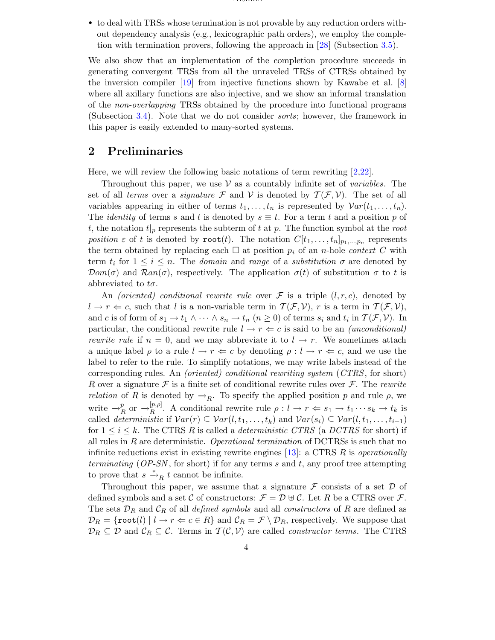• to deal with TRSs whose termination is not provable by any reduction orders without dependency analysis (e.g., lexicographic path orders), we employ the completion with termination provers, following the approach in [\[28\]](#page-14-7) (Subsection [3.5\)](#page-8-0).

We also show that an implementation of the completion procedure succeeds in generating convergent TRSs from all the unraveled TRSs of CTRSs obtained by the inversion compiler  $\begin{bmatrix} 19 \end{bmatrix}$  from injective functions shown by Kawabe et al.  $\begin{bmatrix} 8 \end{bmatrix}$ where all axillary functions are also injective, and we show an informal translation of the non-overlapping TRSs obtained by the procedure into functional programs (Subsection [3.4\)](#page-8-1). Note that we do not consider sorts; however, the framework in this paper is easily extended to many-sorted systems.

### 2 Preliminaries

Here, we will review the following basic notations of term rewriting [\[2,](#page-14-9)[22\]](#page-14-10).

Throughout this paper, we use  $\mathcal V$  as a countably infinite set of *variables*. The set of all terms over a signature F and V is denoted by  $\mathcal{T}(\mathcal{F}, \mathcal{V})$ . The set of all variables appearing in either of terms  $t_1, \ldots, t_n$  is represented by  $Var(t_1, \ldots, t_n)$ . The *identity* of terms s and t is denoted by  $s \equiv t$ . For a term t and a position p of t, the notation  $t|_p$  represents the subterm of t at p. The function symbol at the root position  $\varepsilon$  of t is denoted by root(t). The notation  $C[t_1, \ldots, t_n]_{p_1,\ldots,p_n}$  represents the term obtained by replacing each  $\Box$  at position  $p_i$  of an *n*-hole *context* C with term  $t_i$  for  $1 \leq i \leq n$ . The *domain* and *range* of a *substitution*  $\sigma$  are denoted by  $\mathcal{D}om(\sigma)$  and  $\mathcal{R}an(\sigma)$ , respectively. The application  $\sigma(t)$  of substitution  $\sigma$  to t is abbreviated to  $t\sigma$ .

An (oriented) conditional rewrite rule over  $\mathcal F$  is a triple  $(l, r, c)$ , denoted by  $l \to r \Leftarrow c$ , such that l is a non-variable term in  $\mathcal{T}(\mathcal{F}, \mathcal{V})$ , r is a term in  $\mathcal{T}(\mathcal{F}, \mathcal{V})$ , and c is of form of  $s_1 \to t_1 \land \cdots \land s_n \to t_n$   $(n \ge 0)$  of terms  $s_i$  and  $t_i$  in  $\mathcal{T}(\mathcal{F}, \mathcal{V})$ . In particular, the conditional rewrite rule  $l \rightarrow r \leftarrow c$  is said to be an *(unconditional)* rewrite rule if  $n = 0$ , and we may abbreviate it to  $l \rightarrow r$ . We sometimes attach a unique label  $\rho$  to a rule  $l \to r \Leftarrow c$  by denoting  $\rho : l \to r \Leftarrow c$ , and we use the label to refer to the rule. To simplify notations, we may write labels instead of the corresponding rules. An (oriented) conditional rewriting system (CTRS, for short) R over a signature F is a finite set of conditional rewrite rules over F. The rewrite *relation* of R is denoted by  $\rightarrow_R$ . To specify the applied position p and rule  $\rho$ , we write  $\rightarrow^p$ <sub>F</sub>  $P_R$  or  $\rightarrow_R^{[p,\rho]}$  $R^{p,p}$ . A conditional rewrite rule  $\rho: l \to r \Leftarrow s_1 \to t_1 \cdots s_k \to t_k$  is called deterministic if  $Var(r) \subseteq Var(l, t_1, \ldots, t_k)$  and  $Var(s_i) \subseteq Var(l, t_1, \ldots, t_{i-1})$ for  $1 \leq i \leq k$ . The CTRS R is called a *deterministic CTRS* (a *DCTRS* for short) if all rules in R are deterministic. Operational termination of DCTRSs is such that no infinite reductions exist in existing rewrite engines [\[13\]](#page-14-11): a CTRS  $R$  is *operationally* terminating (OP-SN, for short) if for any terms s and t, any proof tree attempting to prove that  $s \stackrel{*}{\rightarrow}_R t$  cannot be infinite.

Throughout this paper, we assume that a signature  $\mathcal F$  consists of a set  $\mathcal D$  of defined symbols and a set C of constructors:  $\mathcal{F} = \mathcal{D} \oplus \mathcal{C}$ . Let R be a CTRS over  $\mathcal{F}$ . The sets  $\mathcal{D}_R$  and  $\mathcal{C}_R$  of all *defined symbols* and all *constructors* of R are defined as  $\mathcal{D}_R = \{\text{root}(l) \mid l \to r \Leftarrow c \in R\}$  and  $\mathcal{C}_R = \mathcal{F} \setminus \mathcal{D}_R$ , respectively. We suppose that  $\mathcal{D}_R \subseteq \mathcal{D}$  and  $\mathcal{C}_R \subseteq \mathcal{C}$ . Terms in  $\mathcal{T}(\mathcal{C}, \mathcal{V})$  are called *constructor terms*. The CTRS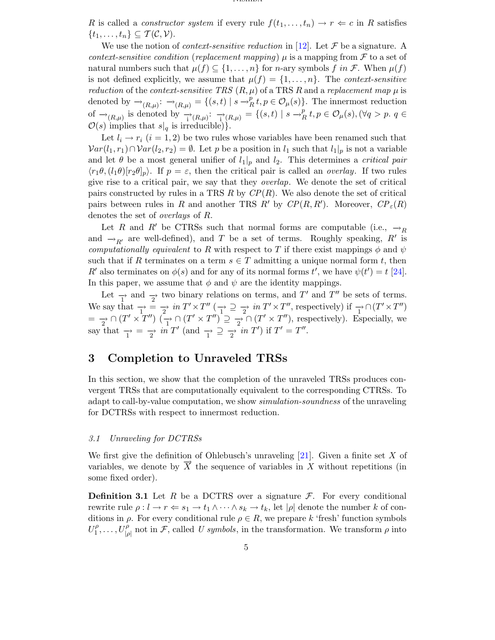R is called a *constructor system* if every rule  $f(t_1, \ldots, t_n) \to r \Leftarrow c$  in R satisfies  $\{t_1,\ldots,t_n\}\subseteq \mathcal{T}(\mathcal{C},\mathcal{V}).$ 

We use the notion of *context-sensitive reduction* in [\[12\]](#page-14-12). Let  $\mathcal F$  be a signature. A context-sensitive condition (replacement mapping)  $\mu$  is a mapping from F to a set of natural numbers such that  $\mu(f) \subseteq \{1, \ldots, n\}$  for *n*-ary symbols f in F. When  $\mu(f)$ is not defined explicitly, we assume that  $\mu(f) = \{1, \ldots, n\}$ . The *context-sensitive* reduction of the context-sensitive TRS  $(R, \mu)$  of a TRS R and a replacement map  $\mu$  is denoted by  $\rightarrow_{(R,\mu)}$ :  $\rightarrow_{(R,\mu)}$  = {(s, t) | s  $\rightarrow^p_I$  $_{R}^{p}$ *t*,  $p \in \mathcal{O}_{\mu}(s)$ . The innermost reduction of  $\rightarrow_{(R,\mu)}$  is denoted by  $\rightarrow_{\text{I}(R,\mu)}$ :  $\rightarrow_{\text{I}(R,\mu)}$  = {(s, t) | s  $\rightarrow_{\text{I}}^p$  $_{R}^{p}$  t,  $p \in \mathcal{O}_{\mu}(s)$ ,  $(\forall q > p. q \in$  $\mathcal{O}(s)$  implies that  $s|_q$  is irreducible).

Let  $l_i \rightarrow r_i$   $(i = 1, 2)$  be two rules whose variables have been renamed such that  $Var(l_1, r_1) \cap Var(l_2, r_2) = \emptyset$ . Let p be a position in  $l_1$  such that  $l_1|_p$  is not a variable and let  $\theta$  be a most general unifier of  $l_1|_p$  and  $l_2$ . This determines a *critical pair*  $\langle r_1\theta,(l_1\theta)[r_2\theta]_p\rangle$ . If  $p=\varepsilon$ , then the critical pair is called an *overlay*. If two rules give rise to a critical pair, we say that they overlap. We denote the set of critical pairs constructed by rules in a TRS R by  $\mathbb{CP}(R)$ . We also denote the set of critical pairs between rules in R and another TRS R' by  $\mathbb{CP}(R, R')$ . Moreover,  $\mathbb{CP}_{\varepsilon}(R)$ denotes the set of overlays of R.

Let R and R' be CTRSs such that normal forms are computable (i.e.,  $\rightarrow_R$ and  $\rightarrow_{R'}$  are well-defined), and T be a set of terms. Roughly speaking, R' is computationally equivalent to R with respect to T if there exist mappings  $\phi$  and  $\psi$ such that if R terminates on a term  $s \in T$  admitting a unique normal form t, then R' also terminates on  $\phi(s)$  and for any of its normal forms t', we have  $\psi(t') = t$  [\[24\]](#page-14-6). In this paper, we assume that  $\phi$  and  $\psi$  are the identity mappings.

Let  $\rightarrow$  and  $\rightarrow$  two binary relations on terms, and T' and T'' be sets of terms. We say that  $\rightarrow \equiv \Rightarrow in T' \times T''$   $(\rightarrow \equiv \Rightarrow in T' \times T''$ , respectively) if  $\rightarrow \cap (T' \times T'')$  $=\frac{1}{2} \cap (T' \times T'') \quad (\frac{1}{1} \cap (T' \times T'') \supseteq \frac{1}{2} \cap (T' \times T'')$ , respectively). Especially, we say that  $\frac{\ }{1}$  =  $\frac{\ }{2}$  in T' (and  $\frac{\ }{1}$   $\supseteq$   $\frac{\ }{2}$  in T') if T' = T''.

### 3 Completion to Unraveled TRSs

In this section, we show that the completion of the unraveled TRSs produces convergent TRSs that are computationally equivalent to the corresponding CTRSs. To adapt to call-by-value computation, we show simulation-soundness of the unraveling for DCTRSs with respect to innermost reduction.

#### 3.1 Unraveling for DCTRSs

We first give the definition of Ohlebusch's unraveling  $[21]$ . Given a finite set X of variables, we denote by  $\overrightarrow{X}$  the sequence of variables in X without repetitions (in some fixed order).

<span id="page-4-0"></span>**Definition 3.1** Let R be a DCTRS over a signature  $\mathcal{F}$ . For every conditional rewrite rule  $\rho: l \to r \Leftrightarrow s_1 \to t_1 \wedge \cdots \wedge s_k \to t_k$ , let  $|\rho|$  denote the number k of conditions in  $\rho$ . For every conditional rule  $\rho \in R$ , we prepare k 'fresh' function symbols  $U_1^{\rho}$  $U_{1}^{\rho}, \ldots, U_{|\rho}^{\rho}$  $|p|\rho|$  not in F, called U symbols, in the transformation. We transform  $\rho$  into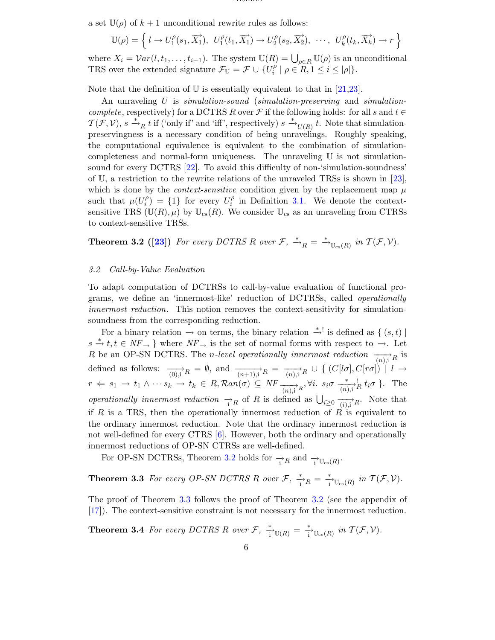a set  $\mathbb{U}(\rho)$  of  $k+1$  unconditional rewrite rules as follows:

$$
\mathbb{U}(\rho) = \left\{ l \to U_1^{\rho}(s_1, \overrightarrow{X_1}), \ U_1^{\rho}(t_1, \overrightarrow{X_1}) \to U_2^{\rho}(s_2, \overrightarrow{X_2}), \ \cdots, \ U_k^{\rho}(t_k, \overrightarrow{X_k}) \to r \right\}
$$

where  $X_i = Var(l, t_1, \ldots, t_{i-1})$ . The system  $\mathbb{U}(R) = \bigcup_{\rho \in R} \mathbb{U}(\rho)$  is an unconditional TRS over the extended signature  $\mathcal{F}_{\mathbb{U}} = \mathcal{F} \cup \{U_i^{\rho}\}\$  $\binom{p}{i}$  |  $\rho \in R, 1 \leq i \leq |\rho|$  }.

Note that the definition of  $\mathbb U$  is essentially equivalent to that in [\[21,](#page-14-2)[23\]](#page-14-13).

An unraveling U is simulation-sound (simulation-preserving and simulationcomplete, respectively) for a DCTRS R over  $\mathcal F$  if the following holds: for all s and  $t \in$  $\mathcal{T}(\mathcal{F}, \mathcal{V}), s \stackrel{*}{\to}_R t$  if ('only if' and 'iff', respectively)  $s \stackrel{*}{\to}_{U(R)} t$ . Note that simulationpreservingness is a necessary condition of being unravelings. Roughly speaking, the computational equivalence is equivalent to the combination of simulationcompleteness and normal-form uniqueness. The unraveling U is not simulationsound for every DCTRS [\[22\]](#page-14-10). To avoid this difficulty of non-'simulation-soundness' of U, a restriction to the rewrite relations of the unraveled TRSs is shown in [[23\]](#page-14-13), which is done by the *context-sensitive* condition given by the replacement map  $\mu$ such that  $\mu(U_i^{\rho})$  $\binom{\rho}{i} = \{1\}$  for every  $U_i^{\rho}$  $i$ <sup> $p$ </sup> in Definition [3.1.](#page-4-0) We denote the contextsensitive TRS ( $\mathbb{U}(R), \mu$ ) by  $\mathbb{U}_{cs}(R)$ . We consider  $\mathbb{U}_{cs}$  as an unraveling from CTRSs to context-sensitive TRSs.

<span id="page-5-1"></span>**Theorem 3.2 ([\[23\]](#page-14-13))** For every DCTRS R over  $\mathcal{F}$ ,  $\stackrel{*}{\rightarrow}_R = \stackrel{*}{\rightarrow}_{\mathbb{U}_{cs}(R)}$  in  $\mathcal{T}(\mathcal{F}, V)$ .

### <span id="page-5-0"></span>3.2 Call-by-Value Evaluation

To adapt computation of DCTRSs to call-by-value evaluation of functional programs, we define an 'innermost-like' reduction of DCTRSs, called operationally innermost reduction. This notion removes the context-sensitivity for simulationsoundness from the corresponding reduction.

For a binary relation  $\rightarrow$  on terms, the binary relation  $\stackrel{*}{\rightarrow}$  is defined as { (s,t) |  $s \stackrel{*}{\to} t, t \in NF \rightarrow \}$  where  $NF \rightarrow$  is the set of normal forms with respect to  $\rightarrow$ . Let R be an OP-SN DCTRS. The *n*-level operationally innermost reduction  $\overrightarrow{(n,i)}$  is defined as follows:  $\frac{\ }{(0),i}R = \emptyset$ , and  $\frac{\ }{(n+1),i}R = \frac{\ }{(n),i}R \cup \{ (C[l\sigma], C[r\sigma]) \mid l \rightarrow$  $r \Leftarrow s_1 \rightarrow t_1 \wedge \cdots s_k \rightarrow t_k \in R$ ,  $\mathcal{R}an(\sigma) \subseteq NF \frac{1}{(n),i} R$ ,  $\forall i$ .  $s_i \sigma \frac{*}{(n),i} R$ ,  $t_i \sigma$ . The *operationally innermost reduction*  $\rightarrow_R$  of R is defined as  $\bigcup_{i\geq 0} \frac{1}{(i),i} R$ . Note that if R is a TRS, then the operationally innermost reduction of  $\hat{R}$  is equivalent to the ordinary innermost reduction. Note that the ordinary innermost reduction is not well-defined for every CTRS [\[6\]](#page-14-14). However, both the ordinary and operationally innermost reductions of OP-SN CTRSs are well-defined.

For OP-SN DCTRSs, Theorem [3.2](#page-5-1) holds for  $\rightarrow_{i} R$  and  $\rightarrow_{\mathbb{U}_{cs}(R)}$ .

<span id="page-5-2"></span>**Theorem 3.3** For every OP-SN DCTRS R over  $\mathcal{F}, \frac{*}{i}R = \frac{*}{i} \cup_{\text{cs}(R)} \text{ in } \mathcal{T}(\mathcal{F}, \mathcal{V})$ .

The proof of Theorem [3.3](#page-5-2) follows the proof of Theorem [3.2](#page-5-1) (see the appendix of [\[17\]](#page-14-15)). The context-sensitive constraint is not necessary for the innermost reduction.

<span id="page-5-3"></span>**Theorem 3.4** For every DCTRS R over 
$$
\mathcal{F}
$$
,  $\frac{*}{i} \mathbb{U}(R) = \frac{*}{i} \mathbb{U}_{\text{cs}}(R)$  in  $\mathcal{T}(\mathcal{F}, \mathcal{V})$ .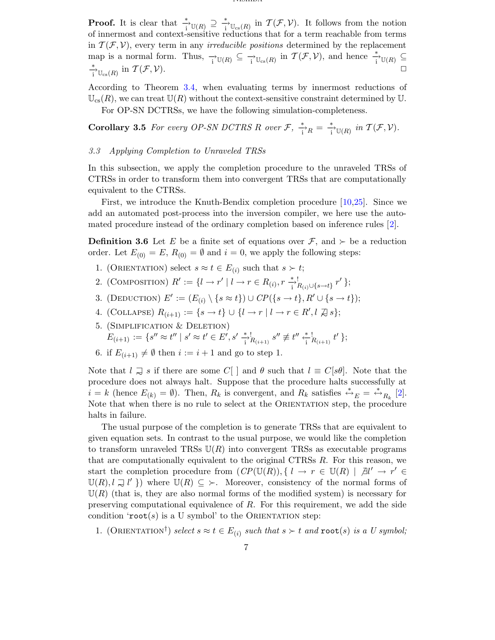**Proof.** It is clear that  $\stackrel{*}{\to} \mathbb{U}(R) \supseteq \stackrel{*}{\to} \mathbb{U}_{\text{cs}}(R)$  in  $\mathcal{T}(\mathcal{F}, \mathcal{V})$ . It follows from the notion of innermost and context-sensitive reductions that for a term reachable from terms in  $\mathcal{T}(\mathcal{F}, \mathcal{V})$ , every term in any *irreducible positions* determined by the replacement map is a normal form. Thus,  $\frac{1}{i}U(R) \subseteq \frac{1}{i}U_{\text{cs}}(R)$  in  $\mathcal{T}(\mathcal{F}, \mathcal{V})$ , and hence  $\frac{1}{i}U(R) \subseteq$  $\frac{\alpha}{i}$ <sup>\*</sup> $\cup_{\text{cs}(R)}$  in  $\mathcal{T}(\mathcal{F}, \mathcal{V})$ .  $\Box$ 

According to Theorem [3.4,](#page-5-3) when evaluating terms by innermost reductions of  $\mathbb{U}_{\text{cs}}(R)$ , we can treat  $\mathbb{U}(R)$  without the context-sensitive constraint determined by U.

For OP-SN DCTRSs, we have the following simulation-completeness.

**Corollary 3.5** For every OP-SN DCTRS R over  $\mathcal{F}$ ,  $\frac{*}{i}R = \frac{*}{i}U(R)$  in  $\mathcal{T}(\mathcal{F}, \mathcal{V})$ .

#### <span id="page-6-0"></span>3.3 Applying Completion to Unraveled TRSs

In this subsection, we apply the completion procedure to the unraveled TRSs of CTRSs in order to transform them into convergent TRSs that are computationally equivalent to the CTRSs.

First, we introduce the Knuth-Bendix completion procedure [\[10](#page-14-16)[,25\]](#page-14-17). Since we add an automated post-process into the inversion compiler, we here use the automated procedure instead of the ordinary completion based on inference rules [\[2\]](#page-14-9).

<span id="page-6-1"></span>**Definition 3.6** Let E be a finite set of equations over  $\mathcal{F}$ , and  $\succ$  be a reduction order. Let  $E_{(0)} = E$ ,  $R_{(0)} = \emptyset$  and  $i = 0$ , we apply the following steps:

- 1. (ORIENTATION) select  $s \approx t \in E_{(i)}$  such that  $s \succ t$ ;
- 2. (COMPOSITION)  $R' := \{l \to r' \mid l \to r \in R_{(i)}, r \frac{*!}{i} R_{(i) \cup \{s \to t\}} r' \};$
- 3. (DEDUCTION)  $E' := (E_{(i)} \setminus \{s \approx t\}) \cup CP(\{s \rightarrow t\}, R' \cup \{s \rightarrow t\});$
- 4. (COLLAPSE)  $R_{(i+1)} := \{ s \to t \} \cup \{ l \to r \mid l \to r \in R', l \not\supseteq s \};$
- 5. (Simplification & Deletion)  $E_{(i+1)} := \{s'' \approx t'' \mid s' \approx t' \in E', s' \stackrel{*}{\to}^!_{R_{(i+1)}} s'' \not\equiv t'' \stackrel{*}{\to}^!_{R_{(i+1)}} t' \};$
- 6. if  $E_{(i+1)} \neq \emptyset$  then  $i := i + 1$  and go to step 1.

Note that  $l \supsetneq s$  if there are some  $C[$  ] and  $\theta$  such that  $l \equiv C[s\theta]$ . Note that the procedure does not always halt. Suppose that the procedure halts successfully at  $i = k$  (hence  $E_{(k)} = \emptyset$ ). Then,  $R_k$  is convergent, and  $R_k$  satisfies  $\stackrel{*}{\leftrightarrow}_E = \stackrel{*}{\leftrightarrow}_{R_k} [2]$  $\stackrel{*}{\leftrightarrow}_E = \stackrel{*}{\leftrightarrow}_{R_k} [2]$ . Note that when there is no rule to select at the ORIENTATION step, the procedure halts in failure.

The usual purpose of the completion is to generate TRSs that are equivalent to given equation sets. In contrast to the usual purpose, we would like the completion to transform unraveled TRSs  $U(R)$  into convergent TRSs as executable programs that are computationally equivalent to the original CTRSs  $R$ . For this reason, we start the completion procedure from  $(CP(\mathbb{U}(R)), \{ l \to r \in \mathbb{U}(R) | \exists l' \to r' \in \mathbb{U}(R) \}$  $\mathbb{U}(R), l \neq l'$  }) where  $\mathbb{U}(R) \subseteq \rightarrow$ . Moreover, consistency of the normal forms of  $\mathbb{U}(R)$ .  $\mathbb{U}(R)$  (that is, they are also normal forms of the modified system) is necessary for preserving computational equivalence of  $R$ . For this requirement, we add the side condition ' $root(s)$  is a U symbol' to the ORIENTATION step:

1. (ORIENTATION<sup>†</sup>) select  $s \approx t \in E_{(i)}$  such that  $s \succ t$  and  $\texttt{root}(s)$  is a U symbol;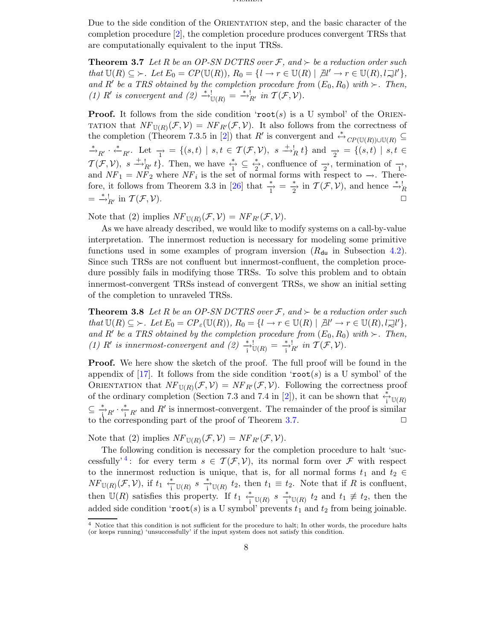Due to the side condition of the ORIENTATION step, and the basic character of the completion procedure [\[2\]](#page-14-9), the completion procedure produces convergent TRSs that are computationally equivalent to the input TRSs.

<span id="page-7-0"></span>**Theorem 3.7** Let R be an OP-SN DCTRS over F, and  $\succ$  be a reduction order such that  $\mathbb{U}(R) \subseteq \rightarrow$ . Let  $E_0 = CP(\mathbb{U}(R)), R_0 = \{l \rightarrow r \in \mathbb{U}(R) \mid \mathbb{A}l' \rightarrow r \in \mathbb{U}(R), l \mathbb{R}l' \}$ ,<br>and  $R'$  be a TBS shtrined by the completion presedure from  $(E, R)$  with  $\infty$ . and R' be a TRS obtained by the completion procedure from  $(E_0, R_0)$  with  $\succ$ . Then, (1) R' is convergent and  $(2) \stackrel{*}{\rightarrow} \mathcal{L}_{\mathbb{U}(R)} = \stackrel{*}{\rightarrow} \mathcal{L}_{R'}$  in  $\mathcal{T}(\mathcal{F}, \mathcal{V})$ .

**Proof.** It follows from the side condition ' $root(s)$  is a U symbol' of the ORIEN-TATION that  $NF_{\mathbb{U}(R)}(\mathcal{F}, \mathcal{V}) = NF_{R'}(\mathcal{F}, \mathcal{V})$ . It also follows from the correctness of the completion (Theorem 7.3.5 in [\[2\]](#page-14-9)) that R' is convergent and  $\stackrel{*}{\leftrightarrow}_{CP(\mathbb{U}(R))\cup\mathbb{U}(R)} \subseteq$  $\stackrel{*}{\rightarrow}_{R'}\cdot\stackrel{*}{\leftarrow}_{R'}$ . Let  $\stackrel{}{\rightarrow}$  {(s,t) | s,t ∈  $\mathcal{T}(\mathcal{F}, \mathcal{V})$ , s  $\stackrel{+}{\rightarrow}_{R}^{\text{!}}t$ } and  $\stackrel{}{\rightarrow}$  = {(s,t) | s,t ∈  $\mathcal{T}(\mathcal{F}, \mathcal{V}), s \stackrel{+}{\longrightarrow}_{R'} t$ . Then, we have  $\stackrel{*}{\longrightarrow} \subseteq \stackrel{*}{\longrightarrow}$ , confluence of  $\rightarrow$ , termination of  $\rightarrow$ , and  $NF_1 = NF_2$  where  $NF_i$  is the set of normal forms with respect to  $\rightarrow$ . There-fore, it follows from Theorem 3.3 in [\[26\]](#page-14-18) that  $\frac{*}{1} = \frac{*}{2}$  in  $\mathcal{T}(\mathcal{F}, \mathcal{V})$ , and hence  $\frac{*}{\rightarrow}$ <sup>1</sup>  $=\stackrel{*}{\rightarrow}_{R'}$  in  $\mathcal{T}(\mathcal{F}, \mathcal{V}).$ 

Note that (2) implies  $NF_{\mathbb{U}(R)}(\mathcal{F}, \mathcal{V}) = NF_{R'}(\mathcal{F}, \mathcal{V}).$ 

As we have already described, we would like to modify systems on a call-by-value interpretation. The innermost reduction is necessary for modeling some primitive functions used in some examples of program inversion  $(R_{du}$  in Subsection [4.2\)](#page-10-0). Since such TRSs are not confluent but innermost-confluent, the completion procedure possibly fails in modifying those TRSs. To solve this problem and to obtain innermost-convergent TRSs instead of convergent TRSs, we show an initial setting of the completion to unraveled TRSs.

<span id="page-7-2"></span>**Theorem 3.8** Let R be an OP-SN DCTRS over F, and  $\succ$  be a reduction order such that  $\mathbb{U}(R) \subseteq \rightarrow$ . Let  $E_0 = CP_{\varepsilon}(\mathbb{U}(R)), R_0 = \{l \rightarrow r \in \mathbb{U}(R) \mid \mathbb{A}l' \rightarrow r \in \mathbb{U}(R), l \geq l'\},$ and R' be a TRS obtained by the completion procedure from  $(E_0, R_0)$  with  $\succ$ . Then, (1) R' is innermost-convergent and  $(2) \frac{*}{i} \bigcup_{i=1}^{n} (R_i) = \frac{*}{i} \bigcap_{i=1}^{n} \{T(\mathcal{F}, \mathcal{V})\}.$ 

Proof. We here show the sketch of the proof. The full proof will be found in the appendix of [\[17\]](#page-14-15). It follows from the side condition ' $root(s)$  is a U symbol' of the ORIENTATION that  $NF_{\mathbb{U}(R)}(\mathcal{F}, \mathcal{V}) = NF_{R'}(\mathcal{F}, \mathcal{V})$ . Following the correctness proof of the ordinary completion (Section 7.3 and 7.4 in [\[2\]](#page-14-9)), it can be shown that  $\stackrel{*}{\rightarrow} \mathbb{U}(R)$  $\subseteq \frac{*}{\cdot}{}_{R'} \cdot \frac{*}{\cdot}{}_{R'}$  and  $R'$  is innermost-convergent. The remainder of the proof is similar to the corresponding part of the proof of Theorem [3.7.](#page-7-0)  $\Box$ 

Note that (2) implies  $NF_{\mathbb{U}(R)}(\mathcal{F}, \mathcal{V}) = NF_{R'}(\mathcal{F}, \mathcal{V}).$ 

The following condition is necessary for the completion procedure to halt 'suc-cessfully'<sup>[4](#page-7-1)</sup>: for every term  $s \in \mathcal{T}(\mathcal{F}, \mathcal{V})$ , its normal form over  $\mathcal F$  with respect to the innermost reduction is unique, that is, for all normal forms  $t_1$  and  $t_2 \in$  $NF_{\mathbb{U}(R)}(\mathcal{F}, \mathcal{V})$ , if  $t_1 \stackrel{*}{\longrightarrow}_{i \mathbb{U}(R)} s \stackrel{*}{\longrightarrow}_{\mathbb{U}(R)} t_2$ , then  $t_1 \equiv t_2$ . Note that if R is confluent, then  $\mathbb{U}(R)$  satisfies this property. If  $t_1 \stackrel{*}{\leftarrow}_{i\mathbb{U}(R)} s \stackrel{*}{\rightarrow}_{\mathbb{U}(R)} t_2$  and  $t_1 \not\equiv t_2$ , then the added side condition ' $\text{root}(s)$  is a U symbol' prevents  $t_1$  and  $t_2$  from being joinable.

<span id="page-7-1"></span><sup>4</sup> Notice that this condition is not sufficient for the procedure to halt; In other words, the procedure halts (or keeps running) 'unsuccessfully' if the input system does not satisfy this condition.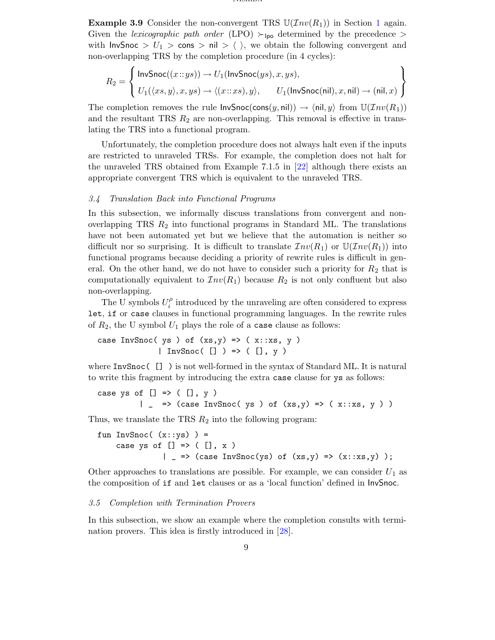<span id="page-8-2"></span>**Example 3.9** Consider the non-convergent TRS  $U(\mathcal{I}nv(R_1))$  $U(\mathcal{I}nv(R_1))$  $U(\mathcal{I}nv(R_1))$  in Section 1 again. Given the lexicographic path order (LPO)  $\succ_{\text{Ipo}}$  determined by the precedence  $\gt$ with InvSnoc >  $U_1$  > cons > nil >  $\langle \ \rangle$ , we obtain the following convergent and non-overlapping TRS by the completion procedure (in 4 cycles):

$$
R_2 = \begin{cases} \text{InvSnoc}((x::ys)) \to U_1(\text{InvSnoc}(ys), x, ys), \\ U_1(\langle xs, y \rangle, x, ys) \to \langle (x::xs), y \rangle, \quad U_1(\text{InvSnoc}(\text{nil}), x, \text{nil}) \to (\text{nil}, x) \end{cases}
$$

The completion removes the rule  $InvSnoc(cons(y, nil)) \rightarrow \langle nil, y \rangle$  from  $\mathbb{U}(Inv(R_1))$ and the resultant TRS  $R_2$  are non-overlapping. This removal is effective in translating the TRS into a functional program.

Unfortunately, the completion procedure does not always halt even if the inputs are restricted to unraveled TRSs. For example, the completion does not halt for the unraveled TRS obtained from Example 7.1.5 in [\[22\]](#page-14-10) although there exists an appropriate convergent TRS which is equivalent to the unraveled TRS.

#### <span id="page-8-1"></span>3.4 Translation Back into Functional Programs

In this subsection, we informally discuss translations from convergent and nonoverlapping TRS  $R_2$  into functional programs in Standard ML. The translations have not been automated yet but we believe that the automation is neither so difficult nor so surprising. It is difficult to translate  $\mathcal{I}nv(R_1)$  or  $\mathbb{U}(\mathcal{I}nv(R_1))$  into functional programs because deciding a priority of rewrite rules is difficult in general. On the other hand, we do not have to consider such a priority for  $R_2$  that is computationally equivalent to  $\mathcal{I}nv(R_1)$  because  $R_2$  is not only confluent but also non-overlapping.

The U symbols  $U_i^{\rho}$  $i$  introduced by the unraveling are often considered to express let, if or case clauses in functional programming languages. In the rewrite rules of  $R_2$ , the U symbol  $U_1$  plays the role of a case clause as follows:

case InvSnoc(  $ys$  ) of  $(xs,y) \Rightarrow$  ( $x::xs$ ,  $y$ ) | InvSnoc( $[]$ ) => ( $[]$ , y)

where InvSnoc( [] ) is not well-formed in the syntax of Standard ML. It is natural to write this fragment by introducing the extra case clause for ys as follows:

case ys of  $[]$  =>  $([], y)$  $|$   $=$  > (case InvSnoc( ys ) of  $(xs,y)$  => ( $x::xs$ ,  $y$ ))

Thus, we translate the TRS  $R_2$  into the following program:

fun  $InvSnoc($   $(x::ys)$   $) =$ case ys of  $[]$  =>  $([], x)$  $|$  => (case InvSnoc(ys) of  $(xs,y)$  =>  $(x::xs,y)$  );

Other approaches to translations are possible. For example, we can consider  $U_1$  as the composition of if and let clauses or as a 'local function' defined in InvSnoc.

#### <span id="page-8-0"></span>3.5 Completion with Termination Provers

In this subsection, we show an example where the completion consults with termination provers. This idea is firstly introduced in [\[28\]](#page-14-7).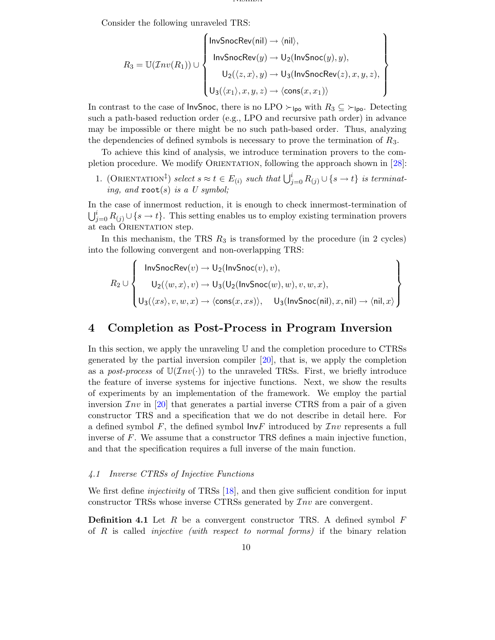Consider the following unraveled TRS:

$$
R_3 = \mathbb{U}(\mathcal{I}nv(R_1)) \cup \left\{\begin{aligned} &\text{InvSnocRev(nil)} \rightarrow \langle \text{nil}\rangle, \\ &\text{InvSnocRev}(y) \rightarrow \mathsf{U}_2(\text{InvSnoc}(y), y), \\ &\mathsf{U}_2(\langle z, x \rangle, y) \rightarrow \mathsf{U}_3(\text{InvSnocRev}(z), x, y, z), \\ &\mathsf{U}_3(\langle x_1 \rangle, x, y, z) \rightarrow \langle \text{cons}(x, x_1) \rangle \end{aligned}\right\}
$$

In contrast to the case of InvSnoc, there is no LPO  $\succ_{\textsf{Ipo}}$  with  $R_3 \subseteq \succ_{\textsf{Ipo}}$ . Detecting such a path-based reduction order (e.g., LPO and recursive path order) in advance may be impossible or there might be no such path-based order. Thus, analyzing the dependencies of defined symbols is necessary to prove the termination of  $R_3$ .

To achieve this kind of analysis, we introduce termination provers to the com-pletion procedure. We modify ORIENTATION, following the approach shown in [[28\]](#page-14-7):

1. (ORIENTATION<sup>†</sup>) select  $s \approx t \in E_{(i)}$  such that  $\bigcup_{j=0}^{i} R_{(j)} \cup \{s \to t\}$  is terminating, and  $\texttt{root}(s)$  is a U symbol;

In the case of innermost reduction, it is enough to check innermost-termination of  $\bigcup_{j=0}^{i} R_{(j)} \cup \{s \to t\}.$  This setting enables us to employ existing termination provers at each ORIENTATION step.

In this mechanism, the TRS  $R_3$  is transformed by the procedure (in 2 cycles) into the following convergent and non-overlapping TRS:

$$
R_2 \cup \left\{\begin{array}{l}\text{InvSnocRev}(v) \rightarrow \mathsf{U}_2(\text{InvSnoc}(v), v), \\ \mathsf{U}_2(\langle w, x \rangle, v) \rightarrow \mathsf{U}_3(\mathsf{U}_2(\text{InvSnoc}(w), w), v, w, x), \\ \mathsf{U}_3(\langle xs \rangle, v, w, x) \rightarrow \langle \text{cons}(x, xs) \rangle, \quad \mathsf{U}_3(\text{InvSnoc}( \text{nil}), x, \text{nil}) \rightarrow \langle \text{nil}, x \rangle \end{array}\right\}
$$

### <span id="page-9-0"></span>4 Completion as Post-Process in Program Inversion

In this section, we apply the unraveling U and the completion procedure to CTRSs generated by the partial inversion compiler [\[20\]](#page-14-1), that is, we apply the completion as a post-process of  $\mathbb{U}(\mathcal{I}nv(\cdot))$  to the unraveled TRSs. First, we briefly introduce the feature of inverse systems for injective functions. Next, we show the results of experiments by an implementation of the framework. We employ the partial inversion  $\mathcal{I}nv$  in [\[20\]](#page-14-1) that generates a partial inverse CTRS from a pair of a given constructor TRS and a specification that we do not describe in detail here. For a defined symbol  $F$ , the defined symbol  $InvF$  introduced by  $Inv$  represents a full inverse of F. We assume that a constructor TRS defines a main injective function, and that the specification requires a full inverse of the main function.

#### 4.1 Inverse CTRSs of Injective Functions

We first define *injectivity* of TRSs [\[18\]](#page-14-5), and then give sufficient condition for input constructor TRSs whose inverse CTRSs generated by  $\mathcal{I}nv$  are convergent.

**Definition 4.1** Let R be a convergent constructor TRS. A defined symbol  $F$ of R is called injective (with respect to normal forms) if the binary relation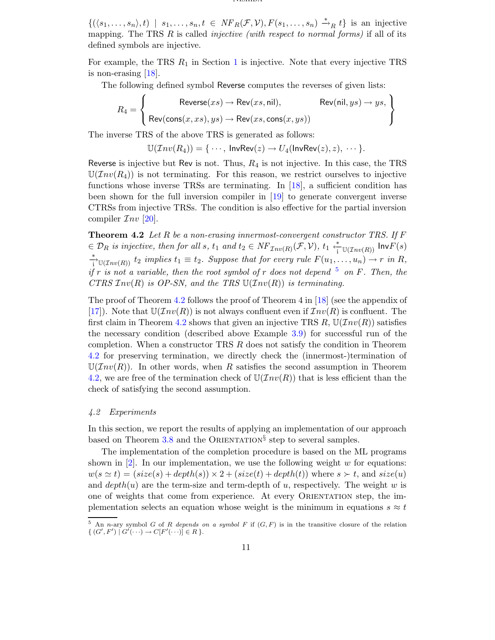$\{(\langle s_1,\ldots,s_n\rangle,t) \mid s_1,\ldots,s_n,t \in NF_R(\mathcal{F},\mathcal{V}), F(s_1,\ldots,s_n) \stackrel{*}{\rightarrow}_R t\}$  is an injective mapping. The TRS  $R$  is called *injective (with respect to normal forms)* if all of its defined symbols are injective.

For example, the TRS  $R_1$  $R_1$  in Section 1 is injective. Note that every injective TRS is non-erasing  $|18|$ .

The following defined symbol Reverse computes the reverses of given lists:

$$
R_4 = \left\{\begin{array}{ll}\text{Reverse}(xs) \to \text{Rev}(xs, \text{nil}), & \text{Rev}(\text{nil}, ys) \to ys, \\ \text{Rev}(\text{cons}(x, xs), ys) \to \text{Rev}(xs, \text{cons}(x, ys))\end{array}\right\}
$$

The inverse TRS of the above TRS is generated as follows:

$$
\mathbb{U}(\mathcal{I}nv(R_4)) = \{\,\cdots,\, \mathsf{InvRev}(z) \to U_4(\mathsf{InvRev}(z),z),\, \cdots\,\}.
$$

Reverse is injective but Rev is not. Thus,  $R_4$  is not injective. In this case, the TRS  $\mathbb{U}(Inv(R_4))$  is not terminating. For this reason, we restrict ourselves to injective functions whose inverse TRSs are terminating. In [\[18\]](#page-14-5), a sufficient condition has been shown for the full inversion compiler in [\[19\]](#page-14-0) to generate convergent inverse CTRSs from injective TRSs. The condition is also effective for the partial inversion compiler  $\mathcal{I}nv$  [\[20\]](#page-14-1).

<span id="page-10-2"></span>**Theorem 4.2** Let  $R$  be a non-erasing innermost-convergent constructor TRS. If  $F$  $\in \mathcal{D}_R$  is injective, then for all s,  $t_1$  and  $t_2 \in \text{NF}_{\mathcal{I}nv(R)}(\mathcal{F}, \mathcal{V}),$   $t_1 \overset{*}{\underset{i}{\leftarrow}} \mathbb{U}(\mathcal{I}nv(R))}$  Inv $F(s)$  $\stackrel{*}{\longrightarrow}_{\mathbb{U}(\mathcal{I}_{\mathcal{W}}(R))} t_2$  implies  $t_1 \equiv t_2$ . Suppose that for every rule  $F(u_1, \ldots, u_n) \to r$  in R, if r is not a variable, then the root symbol of r does not depend  $5$  on F. Then, the CTRS  $Inv(R)$  is OP-SN, and the TRS  $U(Tnv(R))$  is terminating.

The proof of Theorem [4.2](#page-10-2) follows the proof of Theorem 4 in [\[18\]](#page-14-5) (see the appendix of [\[17\]](#page-14-15)). Note that  $\mathbb{U}(\mathcal{I}nv(R))$  is not always confluent even if  $\mathcal{I}nv(R)$  is confluent. The first claim in Theorem [4.2](#page-10-2) shows that given an injective TRS R,  $\mathbb{U}(\mathcal{I}nv(R))$  satisfies the necessary condition (described above Example [3.9\)](#page-8-2) for successful run of the completion. When a constructor TRS  $R$  does not satisfy the condition in Theorem [4.2](#page-10-2) for preserving termination, we directly check the (innermost-)termination of  $\mathbb{U}(Inv(R))$ . In other words, when R satisfies the second assumption in Theorem [4.2,](#page-10-2) we are free of the termination check of  $U(\mathcal{I}nv(R))$  that is less efficient than the check of satisfying the second assumption.

#### <span id="page-10-0"></span>4.2 Experiments

In this section, we report the results of applying an implementation of our approach based on Theorem [3.8](#page-7-2) and the ORIENTATION<sup>§</sup> step to several samples.

The implementation of the completion procedure is based on the ML programs shown in  $[2]$ . In our implementation, we use the following weight w for equations:  $w(s \simeq t) = (size(s) + depth(s)) \times 2 + (size(t) + depth(t))$  where  $s > t$ , and  $size(u)$ and  $depth(u)$  are the term-size and term-depth of u, respectively. The weight w is one of weights that come from experience. At every Orientation step, the implementation selects an equation whose weight is the minimum in equations  $s \approx t$ 

<span id="page-10-1"></span><sup>&</sup>lt;sup>5</sup> An n-ary symbol G of R depends on a symbol F if  $(G, F)$  is in the transitive closure of the relation {  $(G', F') | G'(\cdots) \rightarrow C[F'(\cdots)] \in R$  }.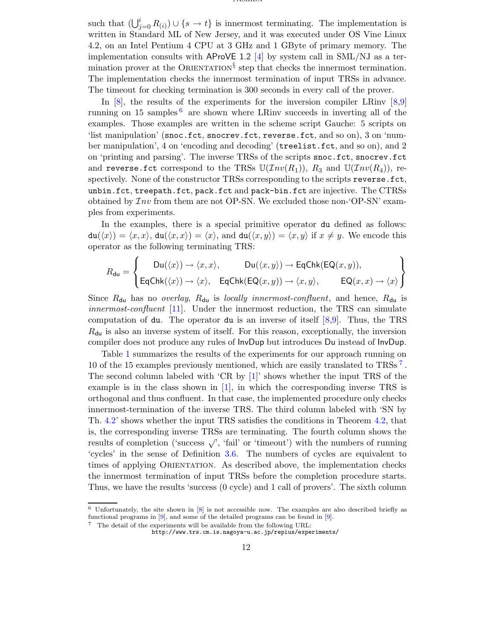such that  $(\bigcup_{j=0}^{i} R_{(i)}) \cup \{s \to t\}$  is innermost terminating. The implementation is written in Standard ML of New Jersey, and it was executed under OS Vine Linux 4.2, on an Intel Pentium 4 CPU at 3 GHz and 1 GByte of primary memory. The implementation consults with AProVE 1.2 [\[4\]](#page-14-19) by system call in SML/NJ as a termination prover at the ORIENTATION<sup>§</sup> step that checks the innermost termination. The implementation checks the innermost termination of input TRSs in advance. The timeout for checking termination is 300 seconds in every call of the prover.

In  $[8]$ , the results of the experiments for the inversion compiler LRinv  $[8,9]$  $[8,9]$  $[8,9]$ running on 15 samples  $6$  are shown where LRinv succeeds in inverting all of the examples. Those examples are written in the scheme script Gauche: 5 scripts on 'list manipulation' (snoc.fct, snocrev.fct, reverse.fct, and so on), 3 on 'number manipulation', 4 on 'encoding and decoding' (treelist.fct, and so on), and 2 on 'printing and parsing'. The inverse TRSs of the scripts snoc.fct, snocrev.fct and reverse.fct correspond to the TRSs  $\mathbb{U}(\mathcal{I}nv(R_1)), R_3$  and  $\mathbb{U}(\mathcal{I}nv(R_4)),$  respectively. None of the constructor TRSs corresponding to the scripts reverse.fct, unbin.fct, treepath.fct, pack.fct and pack-bin.fct are injective. The CTRSs obtained by  $\mathcal{I}nv$  from them are not OP-SN. We excluded those non-'OP-SN' examples from experiments.

In the examples, there is a special primitive operator du defined as follows:  $du(\langle x \rangle) = \langle x, x \rangle$ ,  $du(\langle x, x \rangle) = \langle x \rangle$ , and  $du(\langle x, y \rangle) = \langle x, y \rangle$  if  $x \neq y$ . We encode this operator as the following terminating TRS:

$$
R_{\mathsf{du}} = \left\{ \begin{aligned} \mathsf{Du}(\langle x \rangle) &\rightarrow \langle x, x \rangle, & \mathsf{Du}(\langle x, y \rangle) &\rightarrow \mathsf{EqChk}(\mathsf{EQ}(x, y)), \\ \mathsf{EqChk}(\langle x \rangle) &\rightarrow \langle x \rangle, & \mathsf{EqChk}(\mathsf{EQ}(x, y)) &\rightarrow \langle x, y \rangle, & \mathsf{EQ}(x, x) &\rightarrow \langle x \rangle \end{aligned} \right\}
$$

Since  $R_{du}$  has no *overlay*,  $R_{du}$  is *locally innermost-confluent*, and hence,  $R_{du}$  is innermost-confluent [\[11\]](#page-14-21). Under the innermost reduction, the TRS can simulate computation of du. The operator du is an inverse of itself [\[8,](#page-14-8)[9\]](#page-14-20). Thus, the TRS  $R_{\text{du}}$  is also an inverse system of itself. For this reason, exceptionally, the inversion compiler does not produce any rules of InvDup but introduces Du instead of InvDup.

Table [1](#page-12-1) summarizes the results of the experiments for our approach running on 10 of the 15 examples previously mentioned, which are easily translated to TRSs [7](#page-11-1) . The second column labeled with 'CR by [\[1\]](#page-13-0)' shows whether the input TRS of the example is in the class shown in [\[1\]](#page-13-0), in which the corresponding inverse TRS is orthogonal and thus confluent. In that case, the implemented procedure only checks innermost-termination of the inverse TRS. The third column labeled with 'SN by Th. [4.2'](#page-10-2) shows whether the input TRS satisfies the conditions in Theorem [4.2,](#page-10-2) that is, the corresponding inverse TRSs are terminating. The fourth column shows the results of completion ('success  $\sqrt{ }$ ', 'fail' or 'timeout') with the numbers of running 'cycles' in the sense of Definition [3.6.](#page-6-1) The numbers of cycles are equivalent to times of applying Orientation. As described above, the implementation checks the innermost termination of input TRSs before the completion procedure starts. Thus, we have the results 'success (0 cycle) and 1 call of provers'. The sixth column

<span id="page-11-1"></span><span id="page-11-0"></span><sup>6</sup> Unfortunately, the site shown in [\[8\]](#page-14-8) is not accessible now. The examples are also described briefly as functional programs in [\[9\]](#page-14-20), and some of the detailed programs can be found in [\[9\]](#page-14-20).

<sup>7</sup> The detail of the experiments will be available from the following URL:

http://www.trs.cm.is.nagoya-u.ac.jp/repius/experiments/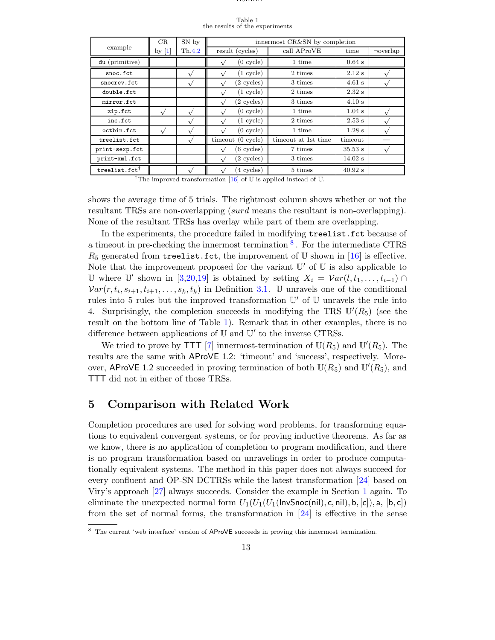Table 1 the results of the experiments

<span id="page-12-1"></span>

|                              | CR        | SN by      | innermost CR&SN by completion |                     |           |                |
|------------------------------|-----------|------------|-------------------------------|---------------------|-----------|----------------|
| example                      | by $[1]$  | Th.4.2     | result (cycles)               | call AProVE         | time      | $\neg overlap$ |
| du (primitive)               |           |            | $(0 \text{ cycle})$           | 1 time              | $0.64$ s  |                |
| snoc.fct                     |           | $\sqrt{}$  | $(1 \text{ cycle})$           | 2 times             | $2.12$ s  |                |
| snocrey.fct                  |           | $\sqrt{ }$ | $(2 \text{ cycles})$          | 3 times             | $4.61$ s  |                |
| double.fct                   |           |            | $(1 \text{ cycle})$           | 2 times             | 2.32 s    |                |
| mirror.fct                   |           |            | $(2 \text{ cycles})$          | 3 times             | 4.10 s    |                |
| zip.fct                      | $\sqrt{}$ |            | $(0 \text{ cycle})$           | 1 time              | $1.04$ s  |                |
| inc.fct                      |           |            | $(1 \text{ cycle})$           | 2 times             | $2.53$ s  |                |
| octbin.fct                   | $\sqrt{}$ |            | $(0 \text{ cycle})$           | 1 time              | $1.28$ s  |                |
| treelist.fct                 |           | $\sqrt{}$  | timeout $(0 \text{ cycle})$   | timeout at 1st time | timeout   |                |
| print-sexp.fct               |           |            | $(6 \text{ cycles})$          | 7 times             | 35.53 s   |                |
| print-xml.fct                |           |            | $(2 \text{ cycles})$          | 3 times             | $14.02$ s |                |
| $t$ reelist.fct $^{\dagger}$ |           |            | $(4 \text{ cycles})$          | 5 times             | $40.92$ s |                |

<sup>†</sup>The improved transformation [\[16\]](#page-14-22) of U is applied instead of U.

shows the average time of 5 trials. The rightmost column shows whether or not the resultant TRSs are non-overlapping (surd means the resultant is non-overlapping). None of the resultant TRSs has overlay while part of them are overlapping.

In the experiments, the procedure failed in modifying treelist.fct because of a timeout in pre-checking the innermost termination <sup>[8](#page-12-2)</sup>. For the intermediate CTRS  $R_5$  generated from treelist.fct, the improvement of U shown in [\[16\]](#page-14-22) is effective. Note that the improvement proposed for the variant  $\mathbb{U}'$  of  $\mathbb{U}$  is also applicable to U where U' shown in [\[3,](#page-14-23)[20,](#page-14-1)[19\]](#page-14-0) is obtained by setting  $X_i = Var(l, t_1, \ldots, t_{i-1})$  ∩  $Var(r, t_i, s_{i+1}, t_{i+1}, \ldots, s_k, t_k)$  in Definition [3.1.](#page-4-0) U unravels one of the conditional rules into 5 rules but the improved transformation  $\mathbb{U}'$  of  $\mathbb{U}$  unravels the rule into 4. Surprisingly, the completion succeeds in modifying the TRS  $\mathbb{U}'(R_5)$  (see the result on the bottom line of Table [1\)](#page-12-1). Remark that in other examples, there is no difference between applications of  $\mathbb U$  and  $\mathbb U'$  to the inverse CTRSs.

We tried to prove by TTT [\[7\]](#page-14-24) innermost-termination of  $\mathbb{U}(R_5)$  and  $\mathbb{U}'(R_5)$ . The results are the same with AProVE 1.2: 'timeout' and 'success', respectively. Moreover, AProVE 1.2 succeeded in proving termination of both  $\mathbb{U}(R_5)$  and  $\mathbb{U}'(R_5)$ , and TTT did not in either of those TRSs.

## <span id="page-12-0"></span>5 Comparison with Related Work

Completion procedures are used for solving word problems, for transforming equations to equivalent convergent systems, or for proving inductive theorems. As far as we know, there is no application of completion to program modification, and there is no program transformation based on unravelings in order to produce computationally equivalent systems. The method in this paper does not always succeed for every confluent and OP-SN DCTRSs while the latest transformation [\[24\]](#page-14-6) based on Viry's approach [\[27\]](#page-14-25) always succeeds. Consider the example in Section [1](#page-0-0) again. To eliminate the unexpected normal form  $U_1(U_1(U_1(\text{InvSnoc(nil)}, c, \text{nil}), b, [c]), a, [b, c])$ from the set of normal forms, the transformation in [\[24\]](#page-14-6) is effective in the sense

<span id="page-12-2"></span><sup>8</sup> The current 'web interface' version of AProVE succeeds in proving this innermost termination.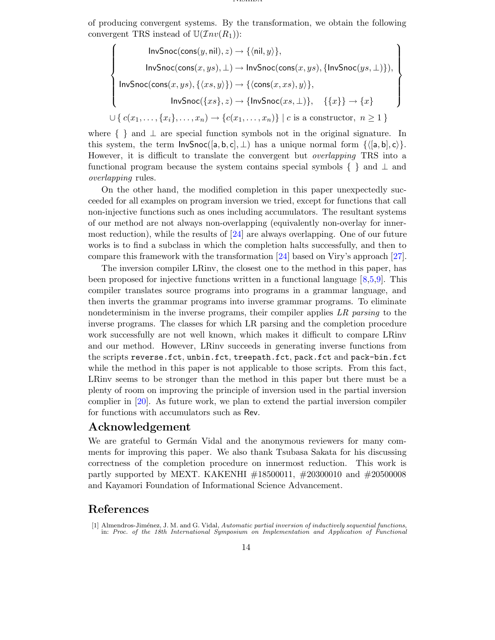of producing convergent systems. By the transformation, we obtain the following convergent TRS instead of  $\mathbb{U}(\mathcal{I}nv(R_1))$ :

$$
\left\{\n\begin{array}{c}\n\text{InvSnoc}(\text{cons}(y,\text{nil}),z) \to \{\langle \text{nil}, y \rangle\}, \\
\text{InvSnoc}(\text{cons}(x,ys), \bot) \to \text{InvSnoc}(\text{cons}(x,ys), \{\text{InvSnoc}(ys, \bot)\}), \\
\text{InvSnoc}(\text{cons}(x,ys), \{\langle xs, y \rangle\}) \to \{\langle \text{cons}(x, xs), y \rangle\}, \\
\text{InvSnoc}(\{xs\}, z) \to \{\text{InvSnoc}(xs, \bot)\}, \quad \{\{x\}\} \to \{x\} \\
\cup \{c(x_1, \ldots, \{x_i\}, \ldots, x_n) \to \{c(x_1, \ldots, x_n)\} \mid c \text{ is a constructor}, \ n \ge 1\}\n\end{array}\n\right\}
$$

where  $\{\}\$ and  $\perp$  are special function symbols not in the original signature. In this system, the term  $InvSnoc([a, b, c], \perp)$  has a unique normal form  $\{\langle [a, b], c \rangle\}$ . However, it is difficult to translate the convergent but overlapping TRS into a functional program because the system contains special symbols  $\{\}\$  and  $\bot$  and overlapping rules.

On the other hand, the modified completion in this paper unexpectedly succeeded for all examples on program inversion we tried, except for functions that call non-injective functions such as ones including accumulators. The resultant systems of our method are not always non-overlapping (equivalently non-overlay for innermost reduction), while the results of  $[24]$  are always overlapping. One of our future works is to find a subclass in which the completion halts successfully, and then to compare this framework with the transformation [\[24\]](#page-14-6) based on Viry's approach [\[27\]](#page-14-25).

The inversion compiler LRinv, the closest one to the method in this paper, has been proposed for injective functions written in a functional language [\[8](#page-14-8)[,5,](#page-14-26)[9\]](#page-14-20). This compiler translates source programs into programs in a grammar language, and then inverts the grammar programs into inverse grammar programs. To eliminate nondeterminism in the inverse programs, their compiler applies LR parsing to the inverse programs. The classes for which LR parsing and the completion procedure work successfully are not well known, which makes it difficult to compare LRinv and our method. However, LRinv succeeds in generating inverse functions from the scripts reverse.fct, unbin.fct, treepath.fct, pack.fct and pack-bin.fct while the method in this paper is not applicable to those scripts. From this fact, LRinv seems to be stronger than the method in this paper but there must be a plenty of room on improving the principle of inversion used in the partial inversion complier in [\[20\]](#page-14-1). As future work, we plan to extend the partial inversion compiler for functions with accumulators such as Rev.

### Acknowledgement

We are grateful to Germán Vidal and the anonymous reviewers for many comments for improving this paper. We also thank Tsubasa Sakata for his discussing correctness of the completion procedure on innermost reduction. This work is partly supported by MEXT. KAKENHI  $#18500011$ ,  $#20300010$  and  $#20500008$ and Kayamori Foundation of Informational Science Advancement.

### <span id="page-13-0"></span>References

<sup>[1]</sup> Almendros-Jim´enez, J. M. and G. Vidal, Automatic partial inversion of inductively sequential functions, in: Proc. of the 18th International Symposium on Implementation and Application of Functional